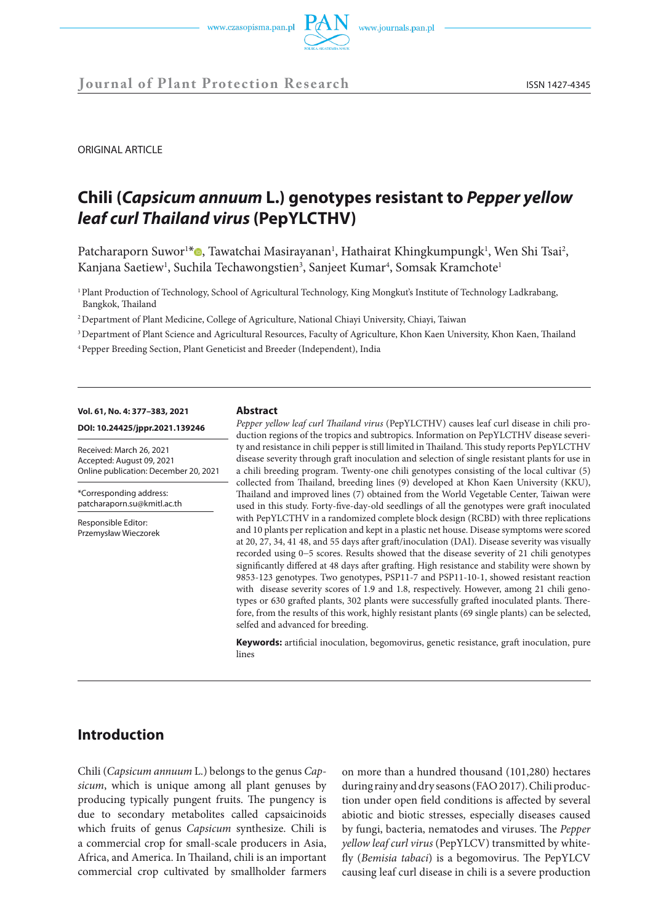



**Journal of Plant Protection Research** ISSN 1427-4345

ORIGINAL ARTICLE

# **Chili (***Capsicum annuum* **L.) genotypes resistant to** *Pepper yellow leaf curl Thailand virus* **(PepYLCTHV)**

Patcharaporn Suwor<sup>1\*</sup><sup>®</sup>, Tawatchai Masirayanan<sup>1</sup>, Hathairat Khingkumpungk<sup>1</sup>, Wen Shi Tsai<sup>2</sup>, Kanjana Saetiew<sup>1</sup>, Suchila Techawongstien<sup>3</sup>, Sanjeet Kumar<sup>4</sup>, Somsak Kramchote<sup>1</sup>

<sup>1</sup> Plant Production of Technology, School of Agricultural Technology, King Mongkut's Institute of Technology Ladkrabang, Bangkok, Thailand

2 Department of Plant Medicine, College of Agriculture, National Chiayi University, Chiayi, Taiwan

<sup>3</sup> Department of Plant Science and Agricultural Resources, Faculty of Agriculture, Khon Kaen University, Khon Kaen, Thailand

4 Pepper Breeding Section, Plant Geneticist and Breeder (Independent), India

# **Vol. 61, No. 4: 377–383, 2021**

**DOI: 10.24425/jppr.2021.139246**

Received: March 26, 2021 Accepted: August 09, 2021 Online publication: December 20, 2021

\*Corresponding address: patcharaporn.su@kmitl.ac.th

Responsible Editor: Przemysław Wieczorek

#### **Abstract**

*Pepper yellow leaf curl Thailand virus* (PepYLCTHV) causes leaf curl disease in chili production regions of the tropics and subtropics. Information on PepYLCTHV disease severity and resistance in chili pepper is still limited in Thailand. This study reports PepYLCTHV disease severity through graft inoculation and selection of single resistant plants for use in a chili breeding program. Twenty-one chili genotypes consisting of the local cultivar (5) collected from Thailand, breeding lines (9) developed at Khon Kaen University (KKU), Thailand and improved lines (7) obtained from the World Vegetable Center, Taiwan were used in this study. Forty-five-day-old seedlings of all the genotypes were graft inoculated with PepYLCTHV in a randomized complete block design (RCBD) with three replications and 10 plants per replication and kept in a plastic net house. Disease symptoms were scored at 20, 27, 34, 41 48, and 55 days after graft/inoculation (DAI). Disease severity was visually recorded using 0−5 scores. Results showed that the disease severity of 21 chili genotypes significantly differed at 48 days after grafting. High resistance and stability were shown by 9853-123 genotypes. Two genotypes, PSP11-7 and PSP11-10-1, showed resistant reaction with disease severity scores of 1.9 and 1.8, respectively. However, among 21 chili genotypes or 630 grafted plants, 302 plants were successfully grafted inoculated plants. Therefore, from the results of this work, highly resistant plants (69 single plants) can be selected, selfed and advanced for breeding.

**Keywords:** artificial inoculation, begomovirus, genetic resistance, graft inoculation, pure lines

# **Introduction**

Chili (*Capsicum annuum* L.) belongs to the genus *Capsicum*, which is unique among all plant genuses by producing typically pungent fruits. The pungency is due to secondary metabolites called capsaicinoids which fruits of genus *Capsicum* synthesize. Chili is a commercial crop for small-scale producers in Asia, Africa, and America. In Thailand, chili is an important commercial crop cultivated by smallholder farmers

on more than a hundred thousand (101,280) hectares during rainy and dry seasons (FAO 2017). Chili production under open field conditions is affected by several abiotic and biotic stresses, especially diseases caused by fungi, bacteria, nematodes and viruses. The *Pepper yellow leaf curl virus* (PepYLCV) transmitted by whitefly (*Bemisia tabaci*) is a begomovirus. The PepYLCV causing leaf curl disease in chili is a severe production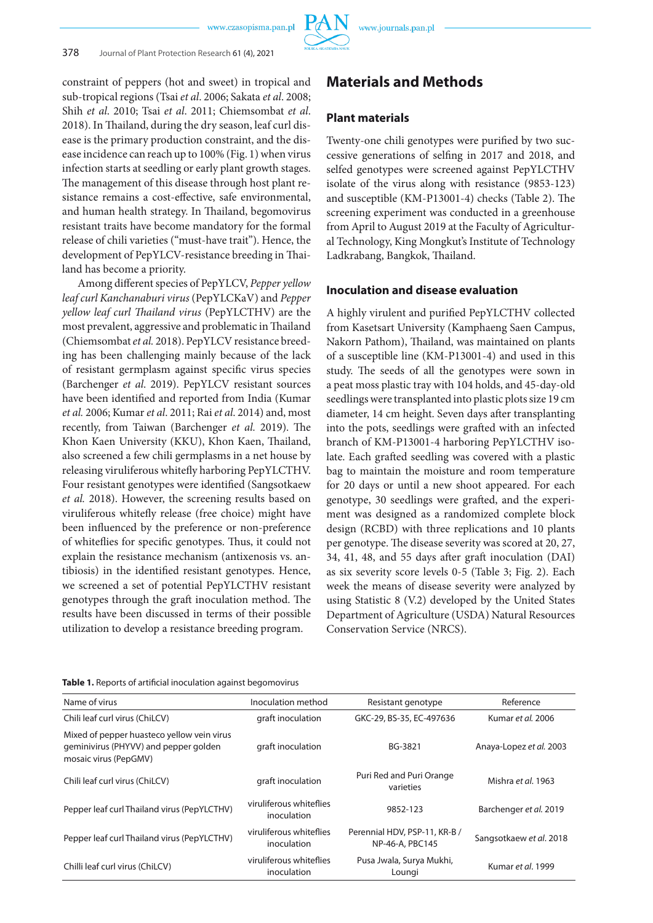constraint of peppers (hot and sweet) in tropical and sub-tropical regions (Tsai *et al*. 2006; Sakata *et al*. 2008; Shih *et al*. 2010; Tsai *et al*. 2011; Chiemsombat *et al*. 2018). In Thailand, during the dry season, leaf curl disease is the primary production constraint, and the disease incidence can reach up to 100% (Fig. 1) when virus infection starts at seedling or early plant growth stages. The management of this disease through host plant resistance remains a cost-effective, safe environmental, and human health strategy. In Thailand, begomovirus resistant traits have become mandatory for the formal release of chili varieties ("must-have trait"). Hence, the development of PepYLCV-resistance breeding in Thailand has become a priority.

Among different species of PepYLCV, *Pepper yellow leaf curl Kanchanaburi virus* (PepYLCKaV) and *Pepper yellow leaf curl Thailand virus* (PepYLCTHV) are the most prevalent, aggressive and problematic in Thailand (Chiemsombat *et al.* 2018). PepYLCV resistance breeding has been challenging mainly because of the lack of resistant germplasm against specific virus species (Barchenger *et al*. 2019). PepYLCV resistant sources have been identified and reported from India (Kumar *et al.* 2006; Kumar *et al*. 2011; Rai *et al*. 2014) and, most recently, from Taiwan (Barchenger *et al.* 2019). The Khon Kaen University (KKU), Khon Kaen, Thailand, also screened a few chili germplasms in a net house by releasing viruliferous whitefly harboring PepYLCTHV. Four resistant genotypes were identified (Sangsotkaew *et al.* 2018). However, the screening results based on viruliferous whitefly release (free choice) might have been influenced by the preference or non-preference of whiteflies for specific genotypes. Thus, it could not explain the resistance mechanism (antixenosis vs. antibiosis) in the identified resistant genotypes. Hence, we screened a set of potential PepYLCTHV resistant genotypes through the graft inoculation method. The results have been discussed in terms of their possible utilization to develop a resistance breeding program.

# **Materials and Methods**

### **Plant materials**

Twenty-one chili genotypes were purified by two successive generations of selfing in 2017 and 2018, and selfed genotypes were screened against PepYLCTHV isolate of the virus along with resistance (9853-123) and susceptible (KM-P13001-4) checks (Table 2). The screening experiment was conducted in a greenhouse from April to August 2019 at the Faculty of Agricultural Technology, King Mongkut's Institute of Technology Ladkrabang, Bangkok, Thailand.

### **Inoculation and disease evaluation**

A highly virulent and purified PepYLCTHV collected from Kasetsart University (Kamphaeng Saen Campus, Nakorn Pathom), Thailand, was maintained on plants of a susceptible line (KM-P13001-4) and used in this study. The seeds of all the genotypes were sown in a peat moss plastic tray with 104 holds, and 45-day-old seedlings were transplanted into plastic plots size 19 cm diameter, 14 cm height. Seven days after transplanting into the pots, seedlings were grafted with an infected branch of KM-P13001-4 harboring PepYLCTHV isolate. Each grafted seedling was covered with a plastic bag to maintain the moisture and room temperature for 20 days or until a new shoot appeared. For each genotype, 30 seedlings were grafted, and the experiment was designed as a randomized complete block design (RCBD) with three replications and 10 plants per genotype. The disease severity was scored at 20, 27, 34, 41, 48, and 55 days after graft inoculation (DAI) as six severity score levels 0-5 (Table 3; Fig. 2). Each week the means of disease severity were analyzed by using Statistic 8 (V.2) developed by the United States Department of Agriculture (USDA) Natural Resources Conservation Service (NRCS).

**Table 1.** Reports of artificial inoculation against begomovirus

| Name of virus                                                                                                | Inoculation method                     | Resistant genotype                               | Reference               |  |
|--------------------------------------------------------------------------------------------------------------|----------------------------------------|--------------------------------------------------|-------------------------|--|
| Chili leaf curl virus (ChiLCV)                                                                               | graft inoculation                      | GKC-29, BS-35, EC-497636                         | Kumar et al. 2006       |  |
| Mixed of pepper huasteco yellow vein virus<br>geminivirus (PHYVV) and pepper golden<br>mosaic virus (PepGMV) | graft inoculation                      | BG-3821                                          | Anaya-Lopez et al. 2003 |  |
| Chili leaf curl virus (ChiLCV)                                                                               | graft inoculation                      | Puri Red and Puri Orange<br>varieties            | Mishra et al. 1963      |  |
| Pepper leaf curl Thailand virus (PepYLCTHV)                                                                  | viruliferous whiteflies<br>inoculation | 9852-123                                         | Barchenger et al. 2019  |  |
| Pepper leaf curl Thailand virus (PepYLCTHV)                                                                  | viruliferous whiteflies<br>inoculation | Perennial HDV, PSP-11, KR-B /<br>NP-46-A, PBC145 | Sangsotkaew et al. 2018 |  |
| Chilli leaf curl virus (ChiLCV)                                                                              | viruliferous whiteflies<br>inoculation | Pusa Jwala, Surya Mukhi,<br>Loungi               | Kumar et al. 1999       |  |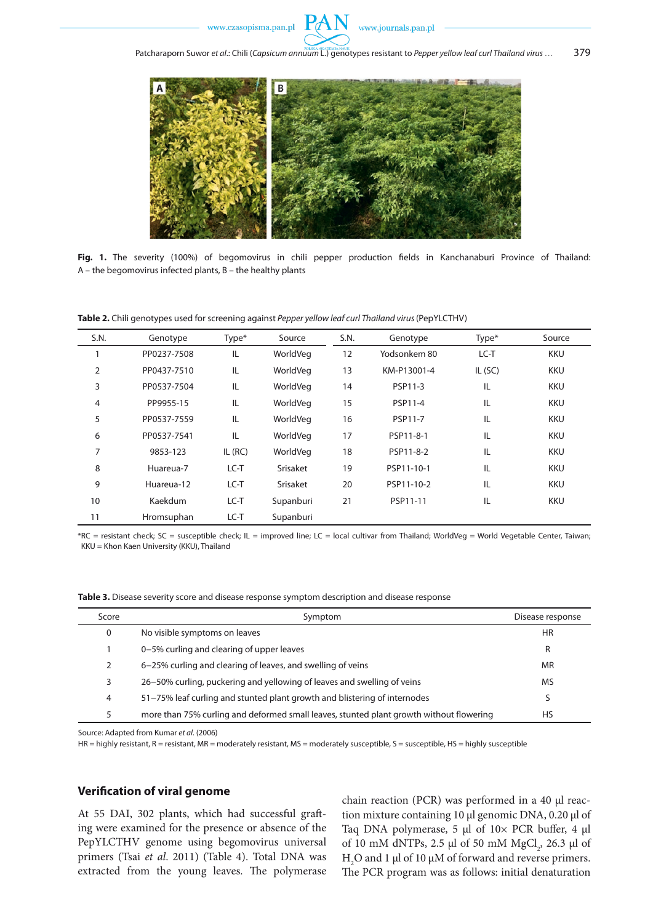



**Fig. 1.** The severity (100%) of begomovirus in chili pepper production fields in Kanchanaburi Province of Thailand: A – the begomovirus infected plants, B – the healthy plants

**Table 2.** Chili genotypes used for screening against *Pepper yellow leaf curl Thailand virus* (PepYLCTHV)

| S.N. | Genotype    | Type*   | Source    | S.N. | Genotype     | Type*     | Source     |
|------|-------------|---------|-----------|------|--------------|-----------|------------|
|      | PP0237-7508 | IL      | WorldVeg  | 12   | Yodsonkem 80 | LC-T      | <b>KKU</b> |
| 2    | PP0437-7510 | IL      | WorldVeg  | 13   | KM-P13001-4  | IL $(SC)$ | <b>KKU</b> |
| 3    | PP0537-7504 | IL      | WorldVeg  | 14   | PSP11-3      | IL        | <b>KKU</b> |
| 4    | PP9955-15   | IL      | WorldVeg  | 15   | PSP11-4      | IL        | <b>KKU</b> |
| 5    | PP0537-7559 | IL      | WorldVeg  | 16   | PSP11-7      | IL        | <b>KKU</b> |
| 6    | PP0537-7541 | IL      | WorldVeg  | 17   | PSP11-8-1    | IL        | <b>KKU</b> |
| 7    | 9853-123    | IL (RC) | WorldVeg  | 18   | PSP11-8-2    | IL        | <b>KKU</b> |
| 8    | Huareua-7   | LC-T    | Srisaket  | 19   | PSP11-10-1   | IL        | <b>KKU</b> |
| 9    | Huareua-12  | LC-T    | Srisaket  | 20   | PSP11-10-2   | IL        | <b>KKU</b> |
| 10   | Kaekdum     | $LC-T$  | Supanburi | 21   | PSP11-11     | IL        | <b>KKU</b> |
| 11   | Hromsuphan  | $LC-T$  | Supanburi |      |              |           |            |

\*RC = resistant check; SC = susceptible check; IL = improved line; LC = local cultivar from Thailand; WorldVeg = World Vegetable Center, Taiwan; KKU = Khon Kaen University (KKU), Thailand

**Table 3.** Disease severity score and disease response symptom description and disease response

| Score | Symptom                                                                                 | Disease response |
|-------|-----------------------------------------------------------------------------------------|------------------|
| 0     | No visible symptoms on leaves                                                           | <b>HR</b>        |
|       | 0-5% curling and clearing of upper leaves                                               | R                |
| 2     | 6–25% curling and clearing of leaves, and swelling of veins                             | <b>MR</b>        |
| 3     | 26–50% curling, puckering and yellowing of leaves and swelling of veins                 | MS               |
| 4     | 51–75% leaf curling and stunted plant growth and blistering of internodes               |                  |
|       | more than 75% curling and deformed small leaves, stunted plant growth without flowering | HS               |

Source: Adapted from Kumar *et al*. (2006)

HR = highly resistant, R = resistant, MR = moderately resistant, MS = moderately susceptible, S = susceptible, HS = highly susceptible

#### **Verification of viral genome**

At 55 DAI, 302 plants, which had successful grafting were examined for the presence or absence of the PepYLCTHV genome using begomovirus universal primers (Tsai *et al*. 2011) (Table 4). Total DNA was extracted from the young leaves. The polymerase

chain reaction (PCR) was performed in a 40 μl reaction mixture containing 10 μl genomic DNA, 0.20 µl of Taq DNA polymerase, 5 µl of  $10\times$  PCR buffer, 4 µl of 10 mM dNTPs, 2.5 µl of 50 mM  $MgCl<sub>2</sub>$ , 26.3 µl of  $\rm H_2O$  and 1  $\rm \mu l$  of 10  $\rm \mu M$  of forward and reverse primers. The PCR program was as follows: initial denaturation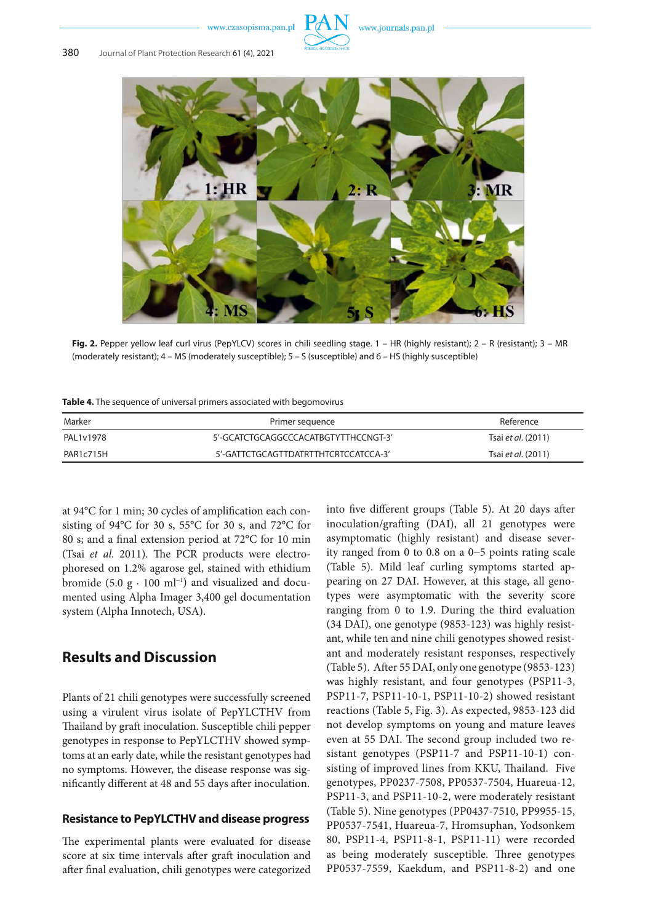

Fig. 2. Pepper yellow leaf curl virus (PepYLCV) scores in chili seedling stage. 1 - HR (highly resistant); 2 - R (resistant); 3 - MR (moderately resistant); 4 – MS (moderately susceptible); 5 – S (susceptible) and 6 – HS (highly susceptible)

**Table 4.** The sequence of universal primers associated with begomovirus

| Marker    | Primer sequence                      | Reference                 |  |  |
|-----------|--------------------------------------|---------------------------|--|--|
| PAL1v1978 | 5'-GCATCTGCAGGCCCACATBGTYTTHCCNGT-3' | Tsai <i>et al.</i> (2011) |  |  |
| PAR1c715H | 5'-GATTCTGCAGTTDATRTTHTCRTCCATCCA-3' | Tsai et al. (2011)        |  |  |

at 94°C for 1 min; 30 cycles of amplification each consisting of 94°C for 30 s, 55°C for 30 s, and 72°C for 80 s; and a final extension period at 72°C for 10 min (Tsai *et al*. 2011). The PCR products were electrophoresed on 1.2% agarose gel, stained with ethidium bromide (5.0 g · 100 ml<sup>−</sup><sup>1</sup> ) and visualized and documented using Alpha Imager 3,400 gel documentation system (Alpha Innotech, USA).

# **Results and Discussion**

Plants of 21 chili genotypes were successfully screened using a virulent virus isolate of PepYLCTHV from Thailand by graft inoculation. Susceptible chili pepper genotypes in response to PepYLCTHV showed symptoms at an early date, while the resistant genotypes had no symptoms. However, the disease response was significantly different at 48 and 55 days after inoculation.

#### **Resistance to PepYLCTHV and disease progress**

The experimental plants were evaluated for disease score at six time intervals after graft inoculation and after final evaluation, chili genotypes were categorized into five different groups (Table 5). At 20 days after inoculation/grafting (DAI), all 21 genotypes were asymptomatic (highly resistant) and disease severity ranged from 0 to 0.8 on a 0−5 points rating scale (Table 5). Mild leaf curling symptoms started appearing on 27 DAI. However, at this stage, all genotypes were asymptomatic with the severity score ranging from 0 to 1.9. During the third evaluation (34 DAI), one genotype (9853-123) was highly resistant, while ten and nine chili genotypes showed resistant and moderately resistant responses, respectively (Table 5). After 55 DAI, only one genotype (9853-123) was highly resistant, and four genotypes (PSP11-3, PSP11-7, PSP11-10-1, PSP11-10-2) showed resistant reactions (Table 5, Fig. 3). As expected, 9853-123 did not develop symptoms on young and mature leaves even at 55 DAI. The second group included two resistant genotypes (PSP11-7 and PSP11-10-1) consisting of improved lines from KKU, Thailand. Five genotypes, PP0237-7508, PP0537-7504, Huareua-12, PSP11-3, and PSP11-10-2, were moderately resistant (Table 5). Nine genotypes (PP0437-7510, PP9955-15, PP0537-7541, Huareua-7, Hromsuphan, Yodsonkem 80, PSP11-4, PSP11-8-1, PSP11-11) were recorded as being moderately susceptible. Three genotypes PP0537-7559, Kaekdum, and PSP11-8-2) and one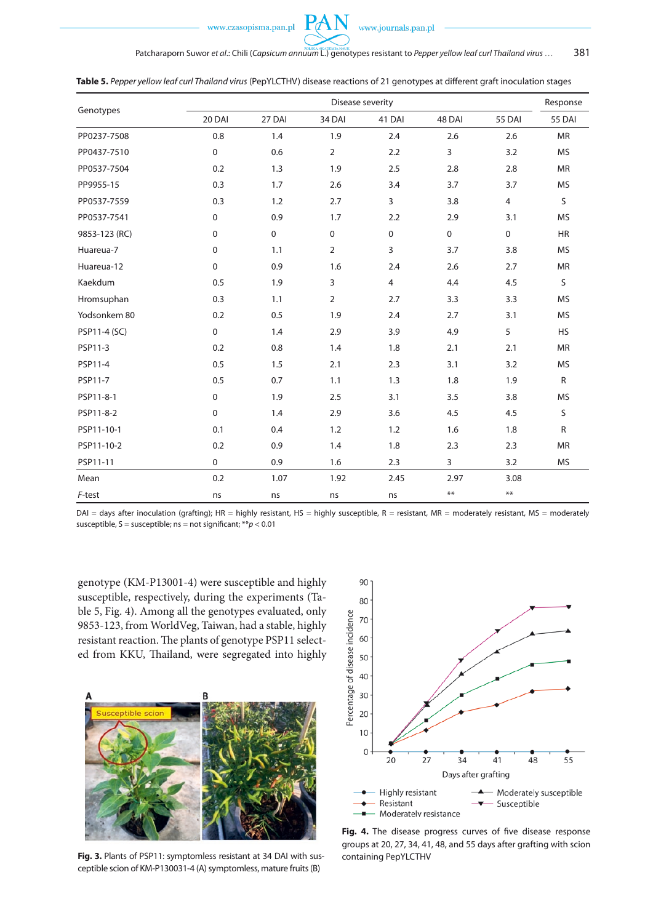www.journals.pan.pl

|               |             | Disease severity |                |                |             |                |               |  |  |
|---------------|-------------|------------------|----------------|----------------|-------------|----------------|---------------|--|--|
| Genotypes     | 20 DAI      | 27 DAI           | 34 DAI         | 41 DAI         | 48 DAI      | <b>55 DAI</b>  | <b>55 DAI</b> |  |  |
| PP0237-7508   | 0.8         | 1.4              | 1.9            | 2.4            | 2.6         | 2.6            | <b>MR</b>     |  |  |
| PP0437-7510   | $\mathbf 0$ | 0.6              | $\overline{2}$ | 2.2            | 3           | 3.2            | <b>MS</b>     |  |  |
| PP0537-7504   | 0.2         | 1.3              | 1.9            | 2.5            | 2.8         | 2.8            | <b>MR</b>     |  |  |
| PP9955-15     | 0.3         | 1.7              | 2.6            | 3.4            | 3.7         | 3.7            | <b>MS</b>     |  |  |
| PP0537-7559   | 0.3         | 1.2              | 2.7            | $\overline{3}$ | 3.8         | $\overline{4}$ | S             |  |  |
| PP0537-7541   | $\mathsf 0$ | 0.9              | 1.7            | 2.2            | 2.9         | 3.1            | <b>MS</b>     |  |  |
| 9853-123 (RC) | $\mathsf 0$ | $\mathbf 0$      | $\mathbf 0$    | $\pmb{0}$      | $\mathbf 0$ | $\mathbf 0$    | <b>HR</b>     |  |  |
| Huareua-7     | $\mathsf 0$ | 1.1              | $\overline{2}$ | 3              | 3.7         | 3.8            | <b>MS</b>     |  |  |
| Huareua-12    | $\pmb{0}$   | 0.9              | 1.6            | 2.4            | 2.6         | 2.7            | <b>MR</b>     |  |  |
| Kaekdum       | 0.5         | 1.9              | 3              | 4              | 4.4         | 4.5            | S             |  |  |
| Hromsuphan    | 0.3         | 1.1              | $\overline{2}$ | 2.7            | 3.3         | 3.3            | <b>MS</b>     |  |  |
| Yodsonkem 80  | 0.2         | 0.5              | 1.9            | 2.4            | 2.7         | 3.1            | <b>MS</b>     |  |  |
| PSP11-4 (SC)  | $\pmb{0}$   | 1.4              | 2.9            | 3.9            | 4.9         | 5              | <b>HS</b>     |  |  |
| PSP11-3       | 0.2         | 0.8              | 1.4            | 1.8            | 2.1         | 2.1            | <b>MR</b>     |  |  |
| PSP11-4       | 0.5         | 1.5              | 2.1            | 2.3            | 3.1         | 3.2            | <b>MS</b>     |  |  |
| PSP11-7       | 0.5         | 0.7              | 1.1            | 1.3            | 1.8         | 1.9            | $\mathsf{R}$  |  |  |
| PSP11-8-1     | $\pmb{0}$   | 1.9              | 2.5            | 3.1            | 3.5         | 3.8            | <b>MS</b>     |  |  |
| PSP11-8-2     | $\mathsf 0$ | 1.4              | 2.9            | 3.6            | 4.5         | 4.5            | S             |  |  |
| PSP11-10-1    | 0.1         | 0.4              | 1.2            | 1.2            | 1.6         | 1.8            | $\mathsf R$   |  |  |
| PSP11-10-2    | 0.2         | 0.9              | 1.4            | 1.8            | 2.3         | 2.3            | <b>MR</b>     |  |  |
| PSP11-11      | $\mathbf 0$ | 0.9              | 1.6            | 2.3            | 3           | 3.2            | <b>MS</b>     |  |  |
| Mean          | 0.2         | 1.07             | 1.92           | 2.45           | 2.97        | 3.08           |               |  |  |
| F-test        | ns          | ns               | ns             | ns             | $***$       | $***$          |               |  |  |

**Table 5.** *Pepper yellow leaf curl Thailand virus* (PepYLCTHV) disease reactions of 21 genotypes at different graft inoculation stages

 $DAI =$  days after inoculation (grafting);  $HR =$  highly resistant,  $HS =$  highly susceptible, R = resistant, MR = moderately resistant, MS = moderately susceptible, S = susceptible; ns = not significant; \*\**p* < 0.01

genotype (KM-P13001-4) were susceptible and highly susceptible, respectively, during the experiments (Table 5, Fig. 4). Among all the genotypes evaluated, only 9853-123, from WorldVeg, Taiwan, had a stable, highly resistant reaction. The plants of genotype PSP11 selected from KKU, Thailand, were segregated into highly



**Fig. 3.** Plants of PSP11: symptomless resistant at 34 DAI with susceptible scion of KM-P130031-4 (A) symptomless, mature fruits (B)



**Fig. 4.** The disease progress curves of five disease response groups at 20, 27, 34, 41, 48, and 55 days after grafting with scion containing PepYLCTHV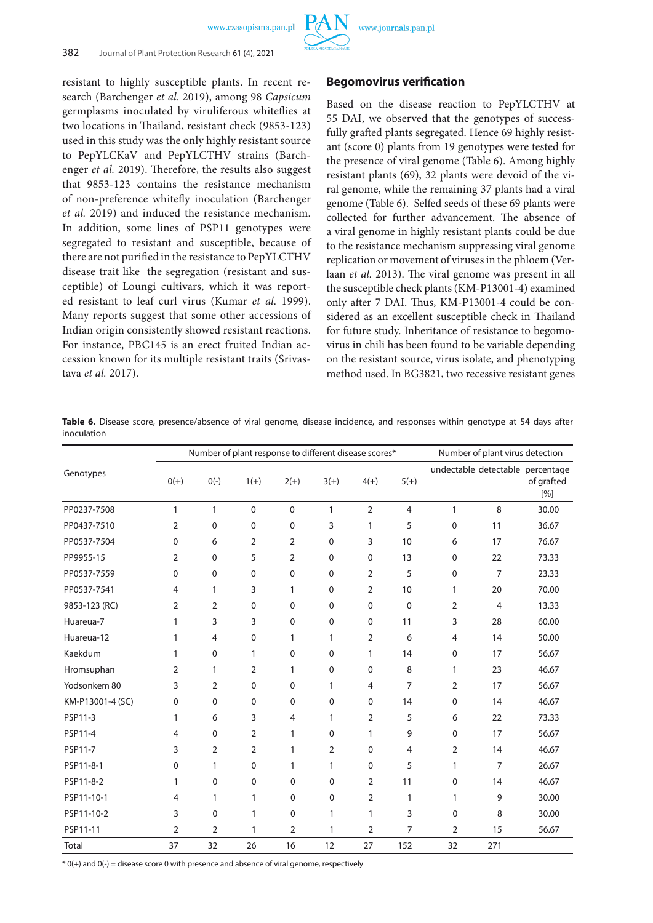

## 382 Journal of Plant Protection Research 61 (4), 2021

resistant to highly susceptible plants. In recent research (Barchenger *et al*. 2019), among 98 *Capsicum* germplasms inoculated by viruliferous whiteflies at two locations in Thailand, resistant check (9853-123) used in this study was the only highly resistant source to PepYLCKaV and PepYLCTHV strains (Barchenger *et al.* 2019). Therefore, the results also suggest that 9853-123 contains the resistance mechanism of non-preference whitefly inoculation (Barchenger *et al.* 2019) and induced the resistance mechanism. In addition, some lines of PSP11 genotypes were segregated to resistant and susceptible, because of there are not purified in the resistance to PepYLCTHV disease trait like the segregation (resistant and susceptible) of Loungi cultivars, which it was reported resistant to leaf curl virus (Kumar *et al.* 1999). Many reports suggest that some other accessions of Indian origin consistently showed resistant reactions. For instance, PBC145 is an erect fruited Indian accession known for its multiple resistant traits (Srivastava *et al.* 2017).

### **Begomovirus verification**

Based on the disease reaction to PepYLCTHV at 55 DAI, we observed that the genotypes of successfully grafted plants segregated. Hence 69 highly resistant (score 0) plants from 19 genotypes were tested for the presence of viral genome (Table 6). Among highly resistant plants (69), 32 plants were devoid of the viral genome, while the remaining 37 plants had a viral genome (Table 6). Selfed seeds of these 69 plants were collected for further advancement. The absence of a viral genome in highly resistant plants could be due to the resistance mechanism suppressing viral genome replication or movement of viruses in the phloem (Verlaan *et al.* 2013). The viral genome was present in all the susceptible check plants (KM-P13001-4) examined only after 7 DAI. Thus, KM-P13001-4 could be considered as an excellent susceptible check in Thailand for future study. Inheritance of resistance to begomovirus in chili has been found to be variable depending on the resistant source, virus isolate, and phenotyping method used. In BG3821, two recessive resistant genes

**Table 6.** Disease score, presence/absence of viral genome, disease incidence, and responses within genotype at 54 days after inoculation

|                  | Number of plant response to different disease scores* |                |                |                |              |                |                | Number of plant virus detection |                |                                                         |
|------------------|-------------------------------------------------------|----------------|----------------|----------------|--------------|----------------|----------------|---------------------------------|----------------|---------------------------------------------------------|
| Genotypes        | $0(+)$                                                | $O(-)$         | $1(+)$         | $2(+)$         | $3(+)$       | $4(+)$         | $5(+)$         |                                 |                | undectable detectable percentage<br>of grafted<br>$[%]$ |
| PP0237-7508      | $\mathbf{1}$                                          | $\mathbf{1}$   | $\mathbf 0$    | $\mathbf 0$    | $\mathbf{1}$ | $\overline{2}$ | $\overline{4}$ | $\mathbf{1}$                    | 8              | 30.00                                                   |
| PP0437-7510      | 2                                                     | 0              | 0              | $\mathbf 0$    | 3            | $\mathbf{1}$   | 5              | 0                               | 11             | 36.67                                                   |
| PP0537-7504      | 0                                                     | 6              | 2              | $\overline{2}$ | $\mathbf 0$  | 3              | 10             | 6                               | 17             | 76.67                                                   |
| PP9955-15        | 2                                                     | $\mathbf 0$    | 5              | $\overline{2}$ | 0            | 0              | 13             | 0                               | 22             | 73.33                                                   |
| PP0537-7559      | 0                                                     | 0              | 0              | $\pmb{0}$      | $\mathbf 0$  | $\overline{2}$ | 5              | $\pmb{0}$                       | $\overline{7}$ | 23.33                                                   |
| PP0537-7541      | 4                                                     | $\mathbf{1}$   | 3              | $\mathbf{1}$   | 0            | 2              | 10             | 1                               | 20             | 70.00                                                   |
| 9853-123 (RC)    | 2                                                     | $\overline{2}$ | 0              | 0              | $\mathbf 0$  | $\mathbf 0$    | $\mathbf 0$    | $\overline{2}$                  | $\overline{4}$ | 13.33                                                   |
| Huareua-7        | $\mathbf{1}$                                          | 3              | 3              | $\mathbf 0$    | $\mathbf 0$  | 0              | 11             | 3                               | 28             | 60.00                                                   |
| Huareua-12       | 1                                                     | $\overline{4}$ | 0              | 1              | $\mathbf{1}$ | 2              | 6              | $\overline{4}$                  | 14             | 50.00                                                   |
| Kaekdum          | 1                                                     | $\mathsf 0$    | $\mathbf{1}$   | 0              | $\mathbf 0$  | $\mathbf{1}$   | 14             | 0                               | 17             | 56.67                                                   |
| Hromsuphan       | 2                                                     | $\mathbf{1}$   | 2              | 1              | $\mathbf 0$  | $\mathbf{0}$   | 8              | $\mathbf{1}$                    | 23             | 46.67                                                   |
| Yodsonkem 80     | 3                                                     | $\overline{2}$ | 0              | $\mathbf 0$    | 1            | 4              | 7              | $\overline{2}$                  | 17             | 56.67                                                   |
| KM-P13001-4 (SC) | 0                                                     | $\mathbf 0$    | 0              | $\Omega$       | $\mathbf 0$  | $\Omega$       | 14             | 0                               | 14             | 46.67                                                   |
| PSP11-3          | 1                                                     | 6              | 3              | 4              | 1            | $\overline{2}$ | 5              | 6                               | 22             | 73.33                                                   |
| PSP11-4          | 4                                                     | $\mathbf 0$    | $\overline{2}$ | 1              | $\mathbf 0$  | 1              | 9              | 0                               | 17             | 56.67                                                   |
| <b>PSP11-7</b>   | 3                                                     | $\overline{2}$ | $\overline{2}$ | $\mathbf{1}$   | 2            | 0              | 4              | $\overline{2}$                  | 14             | 46.67                                                   |
| PSP11-8-1        | 0                                                     | 1              | 0              | $\mathbf{1}$   | 1            | 0              | 5              | 1                               | $\overline{7}$ | 26.67                                                   |
| PSP11-8-2        | $\mathbf{1}$                                          | $\mathbf 0$    | 0              | 0              | $\mathbf 0$  | 2              | 11             | $\mathbf 0$                     | 14             | 46.67                                                   |
| PSP11-10-1       | 4                                                     | $\mathbf{1}$   | 1              | 0              | $\mathbf 0$  | 2              | $\mathbf{1}$   | 1                               | 9              | 30.00                                                   |
| PSP11-10-2       | 3                                                     | $\mathbf 0$    | 1              | $\mathbf 0$    | 1            | 1              | 3              | 0                               | 8              | 30.00                                                   |
| PSP11-11         | 2                                                     | $\overline{2}$ | 1              | 2              | 1            | 2              | 7              | 2                               | 15             | 56.67                                                   |
| Total            | 37                                                    | 32             | 26             | 16             | 12           | 27             | 152            | 32                              | 271            |                                                         |

 $*$  0(+) and 0(-) = disease score 0 with presence and absence of viral genome, respectively